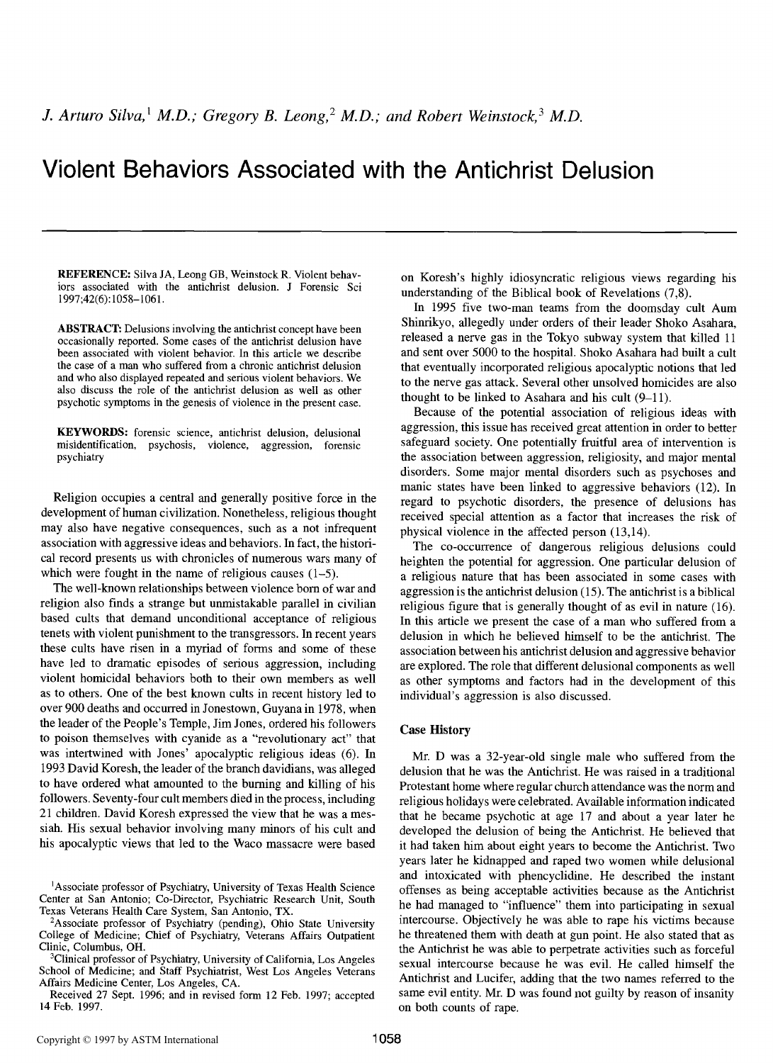## **Violent Behaviors Associated with the Antichrist Delusion**

**REFERENCE:** Silva JA, Leong GB, Weinstock R. Violent behaviors associated with the antichrist delusion. J Forensic Sci 1997;42(6):1058-1061.

**ABSTRACT:** Delusions involving the antichrist concept have been occasionally reported. Some cases of the antichrist delusion have been associated with violent behavior. In this article we describe the case of a man who suffered from a chronic antichrist delusion and who also displayed repeated and serious violent behaviors. We also discuss the role of the antichrist delusion as well as other psychotic symptoms in the genesis of violence in the present case.

**KEYWORDS:** forensic science, antichrist delusion, delusional misidentification, psychosis, violence, aggression, forensic psychiatry

Religion occupies a central and generally positive force in the development of human civilization. Nonetheless, religious thought may also have negative consequences, such as a not infrequent association with aggressive ideas and behaviors. In fact, the historical record presents us with chronicles of numerous wars many of which were fought in the name of religious causes (1–5).

The well-known relationships between violence born of war and religion also finds a strange but unmistakable parallel in civilian based cults that demand unconditional acceptance of religious tenets with violent punishment to the transgressors. In recent years these cults have risen in a myriad of forms and some of these have led to dramatic episodes of serious aggression, including violent homicidal behaviors both to their own members as well as to others. One of the best known cults in recent history led to over 900 deaths and occurred in Jonestown, Guyana in 1978, when the leader of the People's Temple, Jim Jones, ordered his followers to poison themselves with cyanide as a "revolutionary act" that was intertwined with Jones' apocalyptic religious ideas (6). In 1993 David Koresh, the leader of the branch davidians, was alleged to have ordered what amounted to the burning and killing of his followers. Seventy-four cult members died in the process, including 21 children. David Koresh expressed the view that he was a messiah. His sexual behavior involving many minors of his cult and his apocalyptic views that led to the Waco massacre were based

<sup>2</sup>Associate professor of Psychiatry (pending), Ohio State University College of Medicine; Chief of Psychiatry, Veterans Affairs Outpatient Clinic, Columbus, OH.

<sup>3</sup>Clinical professor of Psychiatry, University of California, Los Angeles School of Medicine; and Staff Psychiatrist, West Los Angeles Veterans Affairs Medicine Center, Los Angeles, CA.

Received 27 Sept. 1996; and in revised form 12 Feb. 1997; accepted 14 Feb. 1997.

on Koresh's highly idiosyncratic religious views regarding his understanding of the Biblical book of Revelations (7,8).

In 1995 five two-man teams from the doomsday cult Aum Shinrikyo, allegedly under orders of their leader Shoko Asahara, released a nerve gas in the Tokyo subway system that killed 11 and sent over 5000 to the hospital. Shoko Asahara had built a cult that eventually incorporated religious apocalyptic notions that led to the nerve gas attack. Several other unsolved homicides are also thought to be linked to Asahara and his cult (9-11).

Because of the potential association of religious ideas with aggression, this issue has received great attention in order to better safeguard society. One potentially fruitful area of intervention is the association between aggression, religiosity, and major mental disorders. Some major mental disorders such as psychoses and manic states have been linked to aggressive behaviors (12). In regard to psychotic disorders, the presence of delusions has received special attention as a factor that increases the risk of physical violence in the affected person (13,14).

The co-occurrence of dangerous religious delusions could heighten the potential for aggression. One particular delusion of a religious nature that has been associated in some cases with aggression is the antichrist delusion (15). The antichrist is a biblical religious figure that is generally thought of as evil in nature (16). In this article we present the case of a man who suffered from a delusion in which he believed himself to be the antichrist. The association between his antichrist delusion and aggressive behavior are explored. The role that different delusional components as well as other symptoms and factors had in the development of this individual's aggression is also discussed.

## **Case History**

Mr. D was a 32-year-old single male who suffered from the delusion that he was the Antichrist. He was raised in a traditional Protestant home where regular church attendance was the norm and religious holidays were celebrated. Available information indicated that he became psychotic at age 17 and about a year later he developed the delusion of being the Antichrist. He believed that it had taken him about eight years to become the Antichrist. Two years later he kidnapped and raped two women while delusional and intoxicated with phencyclidine. He described the instant offenses as being acceptable activities because as the Antichrist he had managed to "influence" them into participating in sexual intercourse. Objectively he was able to rape his victims because he threatened them with death at gun point. He also stated that as the Antichrist he was able to perpetrate activities such as forceful sexual intercourse because he was evil. He called himself the Antichrist and Lucifer, adding that the two names referred to the same evil entity. Mr. D was found not guilty by reason of insanity on both counts of rape.

<sup>&</sup>lt;sup>1</sup>Associate professor of Psychiatry, University of Texas Health Science Center at San Antonio; Co-Director, Psychiatric Research Unit, South Texas Veterans Health Care System, San Antonio, TX.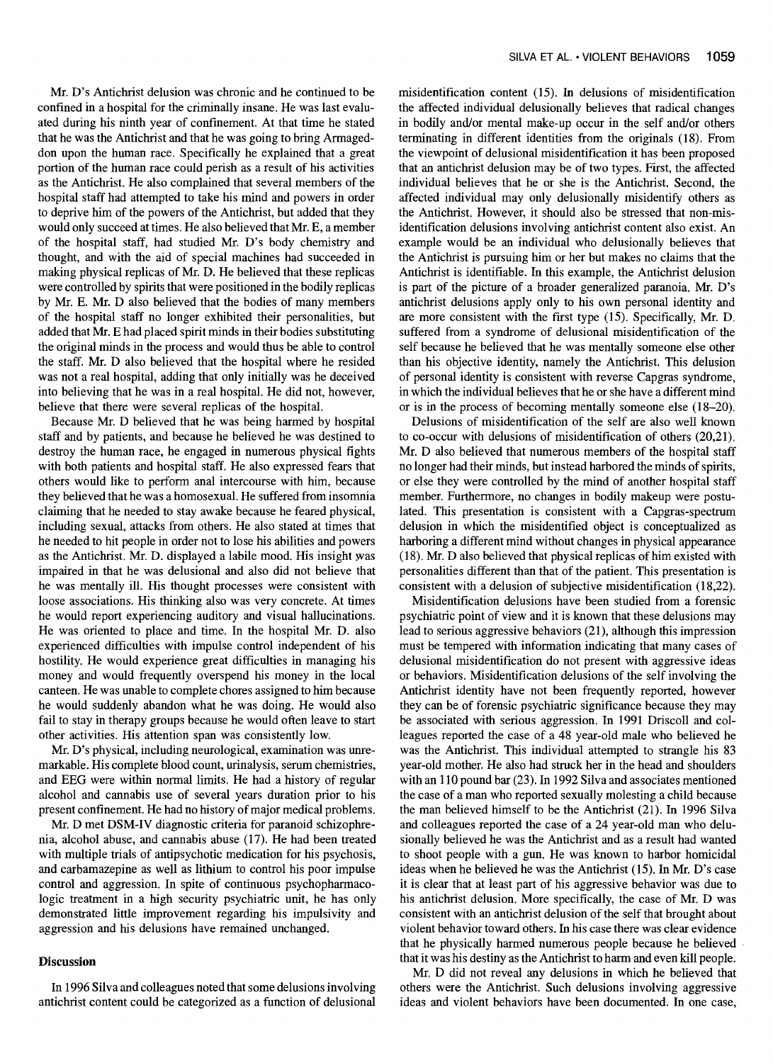Mr. D's Antichrist delusion was chronic and he continued to be confined in a hospital for the criminally insane. He was last evaluated during his ninth year of confinement. At that time he stated that he was the Antichrist and that he was going to bring Armageddon upon the human race. Specifically he explained that a great portion of the human race could perish as a result of his activities as the Antichrist. He also complained that several members of the hospital staff had attempted to take his mind and powers in order to deprive him of the powers of the Antichrist, but added that they would only succeed at times. He also believed that Mr. E, a member of the hospital staff, had studied Mr. D's body chemistry and thought, and with the aid of special machines had succeeded in making physical replicas of Mr. D. He believed that these replicas were controlled by spirits that were positioned in the bodily replicas by Mr. E. Mr. D also believed that the bodies of many members of the hospital staff no longer exhibited their personalities, but added that Mr. E had placed spirit minds in their bodies substituting the original minds in the process and would thus be able to control the staff. Mr. D also believed that the hospital where he resided was not a real hospital, adding that only initially was he deceived into believing that he was in a real hospital. He did not, however, believe that there were several replicas of the hospital.

Because Mr. D believed that he was being harmed by hospital staff and by patients, and because he believed he was destined to destroy the human race, he engaged in numerous physical fights with both patients and hospital staff. He also expressed fears that others would like to perform anal intercourse with him, because they believed that he was a homosexual. He suffered from insomnia claiming that he needed to stay awake because he feared physical, including sexual, attacks from others. He also stated at times that he needed to hit people in order not to lose his abilities and powers as the Antichrist. Mr. D. displayed a labile mood. His insight was impaired in that he was delusional and also did not believe that he was mentally ill. His thought processes were consistent with loose associations. His thinking also was very concrete. At times he would report experiencing auditory and visual hallucinations. He was oriented to place and time. In the hospital Mr. D. also experienced difficulties with impulse control independent of his hostility. He would experience great difficulties in managing his money and would frequently overspend his money in the local canteen. He was unable to complete chores assigned to him because he would suddenly abandon what he was doing. He would also fail to stay in therapy groups because he would often leave to start other activities. His attention span was consistently low.

Mr. D's physical, including neurological, examination was unremarkable. His complete blood count, urinalysis, serum chemistries, and EEG were within normal limits. He had a history of regular alcohol and cannabis use of several years duration prior to his present confinement. He had no history of major medical problems.

Mr. D met DSM-IV diagnostic criteria for paranoid schizophrenia, alcohol abuse, and cannabis abuse (17). He had been treated with multiple trials of antipsychotic medication for his psychosis, and carbamazepine as well as lithium to control his poor impulse control and aggression. In spite of continuous psychopharmacologic treatment in a high security psychiatric unit, he has only demonstrated little improvement regarding his impulsivity and aggression and his delusions have remained unchanged.

## **Discussion**

In 1996 Silva and colleagues noted that some delusions involving antichrist content could be categorized as a function of delusional

misidentification content (15). In delusions of misidentification the affected individual delusionally believes that radical changes in bodily and/or mental make-up occur in the self and/or others terminating in different identities from the originals (18). From the viewpoint of delusional misidentification it has been proposed that an antichrist delusion may be of two types. First, the affected individual believes that he or she is the Antichrist. Second, the affected individual may only delusionally misidentify others as the Antichrist. However, it should also be stressed that non-misidentification delusions involving antichrist content also exist. An example would be an individual who delusionally believes that the Antichrist is pursuing him or her but makes no claims that the Antichrist is identifiable. In this example, the Antichrist delusion is part of the picture of a broader generalized paranoia. Mr. D's antichrist delusions apply only to his own personal identity and are more consistent with the first type (15). Specifically, Mr. D. suffered from a syndrome of delusional misidentification of the self because he believed that he was mentally someone else other than his objective identity, namely the Antichrist. This delusion of personal identity is consistent with reverse Capgras syndrome, in which the individual believes that he or she have a different mind or is in the process of becoming mentally someone else (18-20).

Delusions of misidentification of the self are also well known to co-occur with delusions of misidentification of others (20,21). Mr. D also believed that numerous members of the hospital staff no longer had their minds, but instead harbored the minds of spirits, or else they were controlled by the mind of another hospital staff member. Furthermore, no changes in bodily makeup were postulated. This presentation is consistent with a Capgras-spectrum delusion in which the misidentified object is conceptualized as harboring a different mind without changes in physical appearance (18). Mr. D also believed that physical replicas of him existed with personalities different than that of the patient. This presentation is consistent with a delusion of subjective misidentification (18.22).

Misidentification delusions have been studied from a forensic psychiatric point of view and it is known that these delusions may lead to serious aggressive behaviors (21), although this impression must be tempered with information indicating that many cases of delusional misidentification do not present with aggressive ideas or behaviors. Misidentification delusions of the self involving the Antichrist identity have not been frequently reported, however they can be of forensic psychiatric significance because they may be associated with serious aggression. In 1991 Driscoll and colleagues reported the case of a 48 year-old male who believed he was the Antichrist. This individual attempted to strangle his 83 year-old mother. He also had struck her in the head and shoulders with an 110 pound bar (23). In 1992 Silva and associates mentioned the case of a man who reported sexually molesting a child because the man believed himself to be the Antichrist (21). In 1996 Silva and colleagues reported the case of a 24 year-old man who delusionally believed he was the Antichrist and as a result had wanted to shoot people with a gun. He was known to harbor homicidal ideas when he believed he was the Antichrist (15). In Mr. D's case it is clear that at least part of his aggressive behavior was due to his antichrist delusion. More specifically, the case of Mr. D was consistent with an antichrist delusion of the self that brought about violent behavior toward others. In his case there was clear evidence that he physically harmed numerous people because he believed that it was his destiny as the Antichrist to harm and even kill people.

Mr. D did not reveal any delusions in which he believed that others were the Antichrist. Such delusions involving aggressive ideas and violent behaviors have been documented. In one case,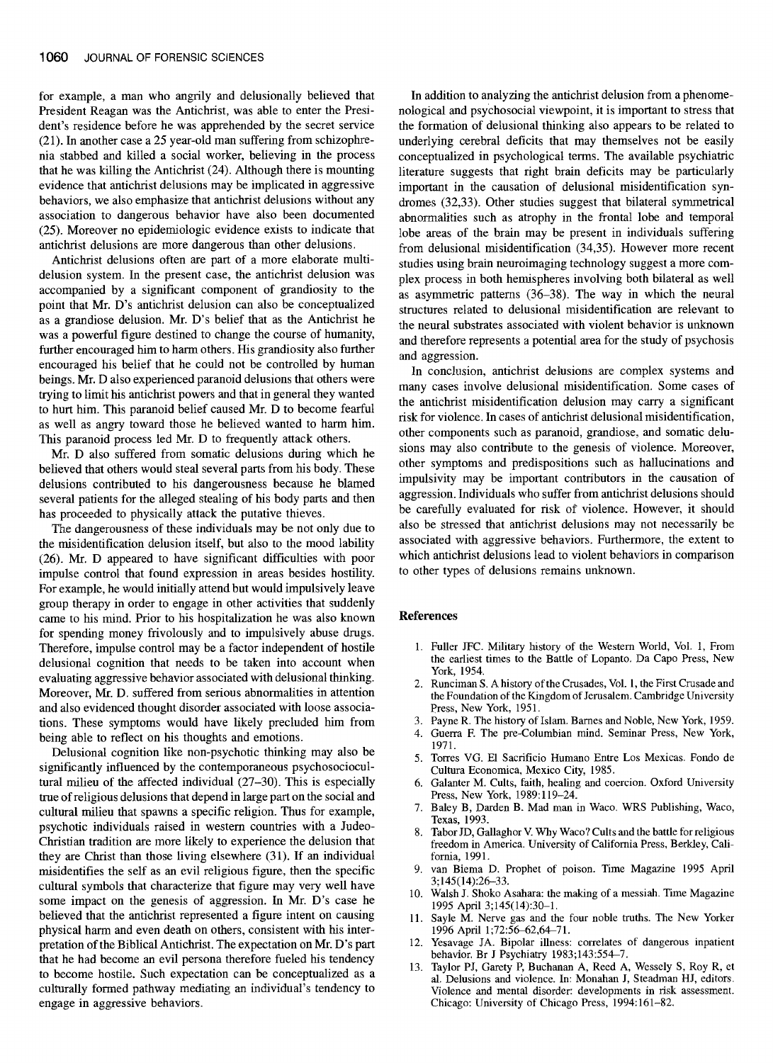for example, a man who angrily and delusionally believed that President Reagan was the Antichrist, was able to enter the President's residence before he was apprehended by the secret service (21). In another case a 25 year-old man suffering from schizophrenia stabbed and killed a social worker, believing in the process that he was killing the Antichrist (24). Although there is mounting evidence that antichrist delusions may be implicated in aggressive behaviors, we also emphasize that antichrist delusions without any association to dangerous behavior have also been documented (25). Moreover no epidemiologic evidence exists to indicate that antichrist delusions are more dangerous than other delusions.

Antichrist delusions often are part of a more elaborate multidelusion system. In the present case, the antichrist delusion was accompanied by a significant component of grandiosity to the point that Mr. D's antichrist delusion can also be conceptualized as a grandiose delusion. Mr. D's belief that as the Antichrist he was a powerful figure destined to change the course of humanity, further encouraged him to harm others. His grandiosity also further encouraged his belief that he could not be controlled by human beings. Mr. D also experienced paranoid delusions that others were trying to limit his antichrist powers and that in general they wanted to hurt him. This paranoid belief caused Mr. D to become fearful as well as angry toward those he believed wanted to harm him. This paranoid process led Mr. D to frequently attack others.

Mr. D also suffered from somatic delusions during which he believed that others would steal several parts from his body. These delusions contributed to his dangerousness because he blamed several patients for the alleged stealing of his body parts and then has proceeded to physically attack the putative thieves.

The dangerousness of these individuals may be not only due to the misidentification delusion itself, but also to the mood lability (26). Mr. D appeared to have significant difficulties with poor impulse control that found expression in areas besides hostility. For example, he would initially attend but would impulsively leave group therapy in order to engage in other activities that suddenly came to his mind. Prior to his hospitalization he was also known for spending money frivolously and to impulsively abuse drugs. Therefore, impulse control may be a factor independent of hostile delusional cognition that needs to be taken into account when evaluating aggressive behavior associated with delusional thinking. Moreover, Mr. D. suffered from serious abnormalities in attention and also evidenced thought disorder associated with loose associations. These symptoms would have likely precluded him from being able to reflect on his thoughts and emotions.

Delusional cognition like non-psychotic thinking may also be significantly influenced by the contemporaneous psychosociocultural milieu of the affected individual (27-30). This is especially true of religious delusions that depend in large part on the social and cultural milieu that spawns a specific religion. Thus for example, psychotic individuals raised in western countries with a Judeo-Christian tradition are more likely to experience the delusion that they are Christ than those living elsewhere (31). ff an individual misidentifies the self as an evil religious figure, then the specific cultural symbols that characterize that figure may very well have some impact on the genesis of aggression. In Mr. D's case he believed that the antichrist represented a figure intent on causing physical harm and even death on others, consistent with his interpretation of the Biblical Antichrist. The expectation on Mr. D's part that he had become an evil persona therefore fueled his tendency to become hostile, Such expectation can be conceptualized as a culturally formed pathway mediating an individual's tendency to engage in aggressive behaviors.

In addition to analyzing the antichrist delusion from a phenomenological and psychosocial viewpoint, it is important to stress that the formation of delusional thinking also appears to be related to underlying cerebral deficits that may themselves not be easily conceptualized in psychological terms. The available psychiatric literature suggests that right brain deficits may be particularly important in the causation of delusional misidentification syndromes (32,33). Other studies suggest that bilateral symmetrical abnormalities such as atrophy in the frontal lobe and temporal lobe areas of the brain may be present in individuals suffering from delusional misidentification (34,35). However more recent studies using brain neuroimaging technology suggest a more complex process in both hemispheres involving both bilateral as well as asymmetric patterns (36-38). The way in which the neural structures related to delusional misidentification are relevant to the neural substrates associated with violent behavior is unknown and therefore represents a potential area for the study of psychosis and aggression.

In conclusion, antichrist delusions are complex systems and many cases involve delusional misidentification. Some cases of the antichrist misidentification delusion may carry a significant risk for violence. In cases of antichrist delusional misidentification, other components such as paranoid, grandiose, and somatic delusions may also contribute to the genesis of violence. Moreover, other symptoms and predispositions such as hallucinations and impulsivity may be important contributors in the causation of aggression. Individuals who suffer from antichrist delusions should be carefully evaluated for risk of violence. However, it should also be stressed that antichrist delusions may not necessarily be associated with aggressive behaviors. Furthermore, the extent to which antichrist delusions lead to violent behaviors in comparison to other types of delusions remains unknown.

## **References**

- 1. Fuller JFC. Military history of the Western World, Vol. 1, From the earliest times to the Battle of Lopanto. Da Capo Press, New York, 1954.
- 2. Runciman S. A history of the Crusades, Vol. I, the First Crusade and the Foundation of the Kingdom of Jerusalem. Cambridge University press, New York, 1951.
- 3. Payne R. The history of Islam. Barnes and Noble, New York, 1959.
- 4. Guerra E The pre-Columbian mind. Seminar Press, New York, 1971.
- 5. Torres VG. E1 Sacrificio Humano Entre Los Mexicas. Fondo de Cultura Economica, Mexico City, 1985.
- 6. Galanter M. Cults, faith, healing and coercion. Oxford University Press, New York, 1989:119-24.
- 7. Baley B, Darden B. Mad man in Waco. WRS Publishing, Waco, Texas, 1993.
- Tabor JD, Gallaghor V. Why Waco? Cults and the battle for religious freedom in America. University of California Press, Berkley, California, 1991.
- 9. van Biema D. Prophet of poison. Time Magazine 1995 April 3;145(14):26-33.
- 10. Walsh J. Shoko Asahara: the making of a messiah. Time Magazine 1995 April 3;145(14):30-1.
- 11. Sayle M. Nerve gas and the four noble truths. The New Yorker 1996 April 1;72:56-62,64-71.
- 12. Yesavage JA. Bipolar illness: correlates of dangerous inpatient behavior. Br J Psychiatry 1983;143:554-7.
- 13. Taylor PJ, Garety P, Buchanan A, Reed A, Wessely S, Roy R, et al. Delusions and violence. In: Monahan J, Steadman HJ, editors. Violence and mental disorder: developments in risk assessment. Chicago: University of Chicago Press, 1994:161-82.